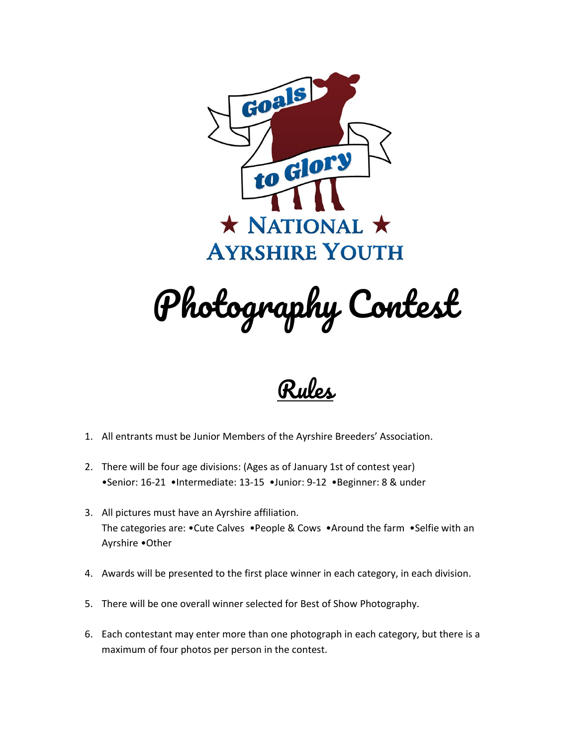

Photography Contest



- 1. All entrants must be Junior Members of the Ayrshire Breeders' Association.
- 2. There will be four age divisions: (Ages as of January 1st of contest year) •Senior: 16-21 •Intermediate: 13-15 •Junior: 9-12 •Beginner: 8 & under
- 3. All pictures must have an Ayrshire affiliation. The categories are: •Cute Calves •People & Cows •Around the farm •Selfie with an Ayrshire •Other
- 4. Awards will be presented to the first place winner in each category, in each division.
- 5. There will be one overall winner selected for Best of Show Photography.
- 6. Each contestant may enter more than one photograph in each category, but there is a maximum of four photos per person in the contest.